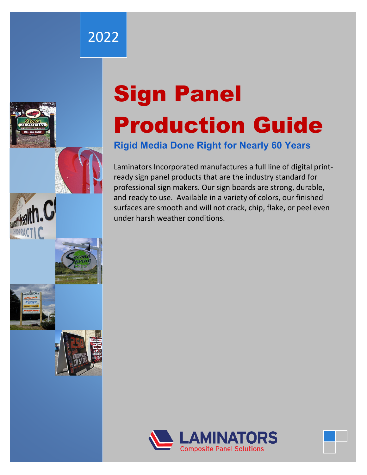## 2022



# Sign Panel Production Guide

## **Rigid Media Done Right for Nearly 60 Years**

Laminators Incorporated manufactures a full line of digital printready sign panel products that are the industry standard for professional sign makers. Our sign boards are strong, durable, and ready to use. Available in a variety of colors, our finished surfaces are smooth and will not crack, chip, flake, or peel even under harsh weather conditions.



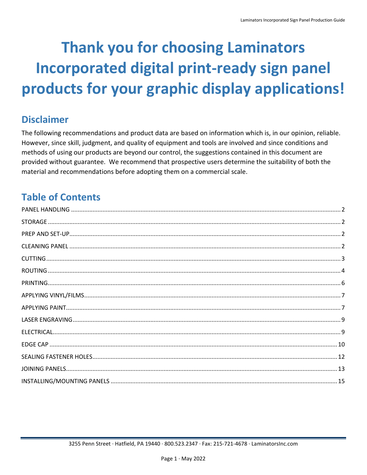## **Thank you for choosing Laminators Incorporated digital print-ready sign panel** products for your graphic display applications!

## **Disclaimer**

The following recommendations and product data are based on information which is, in our opinion, reliable. However, since skill, judgment, and quality of equipment and tools are involved and since conditions and methods of using our products are beyond our control, the suggestions contained in this document are provided without guarantee. We recommend that prospective users determine the suitability of both the material and recommendations before adopting them on a commercial scale.

## **Table of Contents**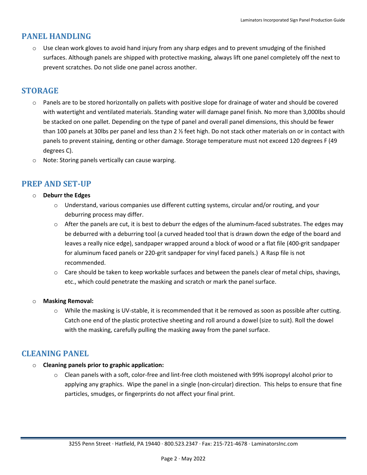## <span id="page-2-0"></span>**PANEL HANDLING**

 $\circ$  Use clean work gloves to avoid hand injury from any sharp edges and to prevent smudging of the finished surfaces. Although panels are shipped with protective masking, always lift one panel completely off the next to prevent scratches. Do not slide one panel across another.

## <span id="page-2-1"></span>**STORAGE**

- $\circ$  Panels are to be stored horizontally on pallets with positive slope for drainage of water and should be covered with watertight and ventilated materials. Standing water will damage panel finish. No more than 3,000lbs should be stacked on one pallet. Depending on the type of panel and overall panel dimensions, this should be fewer than 100 panels at 30lbs per panel and less than 2 ½ feet high. Do not stack other materials on or in contact with panels to prevent staining, denting or other damage. Storage temperature must not exceed 120 degrees F (49 degrees C).
- o Note: Storing panels vertically can cause warping.

## <span id="page-2-2"></span>**PREP AND SET-UP**

- o **Deburr the Edges**
	- $\circ$  Understand, various companies use different cutting systems, circular and/or routing, and your deburring process may differ.
	- $\circ$  After the panels are cut, it is best to deburr the edges of the aluminum-faced substrates. The edges may be deburred with a deburring tool (a curved headed tool that is drawn down the edge of the board and leaves a really nice edge), sandpaper wrapped around a block of wood or a flat file (400-grit sandpaper for aluminum faced panels or 220-grit sandpaper for vinyl faced panels.) A Rasp file is not recommended.
	- $\circ$  Care should be taken to keep workable surfaces and between the panels clear of metal chips, shavings, etc., which could penetrate the masking and scratch or mark the panel surface.

#### o **Masking Removal:**

 $\circ$  While the masking is UV-stable, it is recommended that it be removed as soon as possible after cutting. Catch one end of the plastic protective sheeting and roll around a dowel (size to suit). Roll the dowel with the masking, carefully pulling the masking away from the panel surface.

## <span id="page-2-3"></span>**CLEANING PANEL**

#### o **Cleaning panels prior to graphic application:**

 $\circ$  Clean panels with a soft, color-free and lint-free cloth moistened with 99% isopropyl alcohol prior to applying any graphics. Wipe the panel in a single (non-circular) direction. This helps to ensure that fine particles, smudges, or fingerprints do not affect your final print.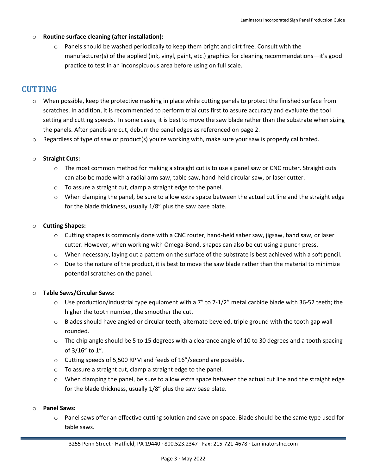#### o **Routine surface cleaning (after installation):**

 $\circ$  Panels should be washed periodically to keep them bright and dirt free. Consult with the manufacturer(s) of the applied (ink, vinyl, paint, etc.) graphics for cleaning recommendations—it's good practice to test in an inconspicuous area before using on full scale.

## <span id="page-3-0"></span>**CUTTING**

- o When possible, keep the protective masking in place while cutting panels to protect the finished surface from scratches. In addition, it is recommended to perform trial cuts first to assure accuracy and evaluate the tool setting and cutting speeds. In some cases, it is best to move the saw blade rather than the substrate when sizing the panels. After panels are cut, deburr the panel edges as referenced on page 2.
- $\circ$  Regardless of type of saw or product(s) you're working with, make sure your saw is properly calibrated.

#### o **Straight Cuts:**

- $\circ$  The most common method for making a straight cut is to use a panel saw or CNC router. Straight cuts can also be made with a radial arm saw, table saw, hand-held circular saw, or laser cutter.
- o To assure a straight cut, clamp a straight edge to the panel.
- $\circ$  When clamping the panel, be sure to allow extra space between the actual cut line and the straight edge for the blade thickness, usually 1/8" plus the saw base plate.

#### o **Cutting Shapes:**

- $\circ$  Cutting shapes is commonly done with a CNC router, hand-held saber saw, jigsaw, band saw, or laser cutter. However, when working with Omega-Bond, shapes can also be cut using a punch press.
- $\circ$  When necessary, laying out a pattern on the surface of the substrate is best achieved with a soft pencil.
- $\circ$  Due to the nature of the product, it is best to move the saw blade rather than the material to minimize potential scratches on the panel.

#### o **Table Saws/Circular Saws:**

- $\circ$  Use production/industrial type equipment with a 7" to 7-1/2" metal carbide blade with 36-52 teeth; the higher the tooth number, the smoother the cut.
- o Blades should have angled or circular teeth, alternate beveled, triple ground with the tooth gap wall rounded.
- $\circ$  The chip angle should be 5 to 15 degrees with a clearance angle of 10 to 30 degrees and a tooth spacing of 3/16" to 1".
- o Cutting speeds of 5,500 RPM and feeds of 16"/second are possible.
- o To assure a straight cut, clamp a straight edge to the panel.
- o When clamping the panel, be sure to allow extra space between the actual cut line and the straight edge for the blade thickness, usually 1/8" plus the saw base plate.

#### o **Panel Saws:**

o Panel saws offer an effective cutting solution and save on space. Blade should be the same type used for table saws.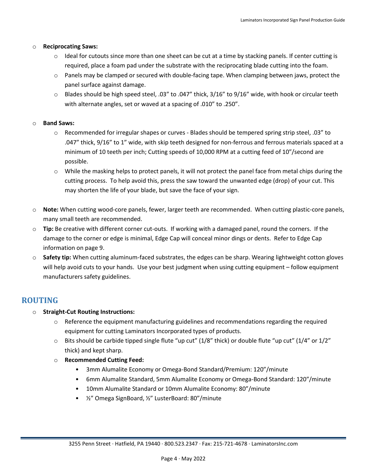#### o **Reciprocating Saws:**

- $\circ$  Ideal for cutouts since more than one sheet can be cut at a time by stacking panels. If center cutting is required, place a foam pad under the substrate with the reciprocating blade cutting into the foam.
- o Panels may be clamped or secured with double-facing tape. When clamping between jaws, protect the panel surface against damage.
- $\circ$  Blades should be high speed steel, .03" to .047" thick, 3/16" to 9/16" wide, with hook or circular teeth with alternate angles, set or waved at a spacing of .010" to .250".

#### o **Band Saws:**

- $\circ$  Recommended for irregular shapes or curves Blades should be tempered spring strip steel, .03" to .047" thick, 9/16" to 1" wide, with skip teeth designed for non-ferrous and ferrous materials spaced at a minimum of 10 teeth per inch; Cutting speeds of 10,000 RPM at a cutting feed of 10"/second are possible.
- o While the masking helps to protect panels, it will not protect the panel face from metal chips during the cutting process. To help avoid this, press the saw toward the unwanted edge (drop) of your cut. This may shorten the life of your blade, but save the face of your sign.
- o **Note:** When cutting wood-core panels, fewer, larger teeth are recommended. When cutting plastic-core panels, many small teeth are recommended.
- o **Tip:** Be creative with different corner cut-outs. If working with a damaged panel, round the corners. If the damage to the corner or edge is minimal, Edge Cap will conceal minor dings or dents. Refer to Edge Cap information on page 9.
- o **Safety tip:** When cutting aluminum-faced substrates, the edges can be sharp. Wearing lightweight cotton gloves will help avoid cuts to your hands. Use your best judgment when using cutting equipment – follow equipment manufacturers safety guidelines.

## <span id="page-4-0"></span>**ROUTING**

- o **Straight-Cut Routing Instructions:**
	- o Reference the equipment manufacturing guidelines and recommendations regarding the required equipment for cutting Laminators Incorporated types of products.
	- $\circ$  Bits should be carbide tipped single flute "up cut" (1/8" thick) or double flute "up cut" (1/4" or 1/2" thick) and kept sharp.
	- o **Recommended Cutting Feed:**
		- 3mm Alumalite Economy or Omega-Bond Standard/Premium: 120"/minute
		- 6mm Alumalite Standard, 5mm Alumalite Economy or Omega-Bond Standard: 120"/minute
		- 10mm Alumalite Standard or 10mm Alumalite Economy: 80"/minute
		- ½" Omega SignBoard, ½" LusterBoard: 80"/minute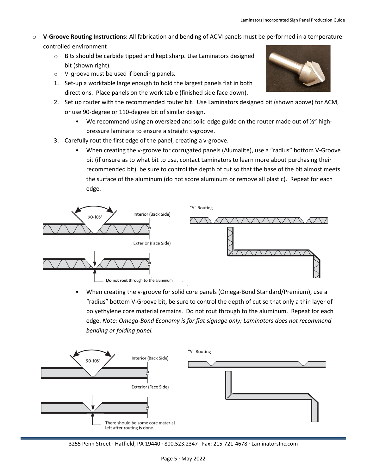- o **V-Groove Routing Instructions:** All fabrication and bending of ACM panels must be performed in a temperaturecontrolled environment
	- o Bits should be carbide tipped and kept sharp. Use Laminators designed bit (shown right).
	- o V-groove must be used if bending panels.
	- 1. Set-up a worktable large enough to hold the largest panels flat in both directions. Place panels on the work table (finished side face down).
	- 2. Set up router with the recommended router bit. Use Laminators designed bit (shown above) for ACM, or use 90-degree or 110-degree bit of similar design.
		- We recommend using an oversized and solid edge guide on the router made out of  $\frac{1}{2}$ " highpressure laminate to ensure a straight v-groove.
	- 3. Carefully rout the first edge of the panel, creating a v-groove.
		- When creating the v-groove for corrugated panels (Alumalite), use a "radius" bottom V-Groove bit (if unsure as to what bit to use, contact Laminators to learn more about purchasing their recommended bit), be sure to control the depth of cut so that the base of the bit almost meets the surface of the aluminum (do not score aluminum or remove all plastic). Repeat for each edge.



• When creating the v-groove for solid core panels (Omega-Bond Standard/Premium), use a "radius" bottom V-Groove bit, be sure to control the depth of cut so that only a thin layer of polyethylene core material remains. Do not rout through to the aluminum. Repeat for each edge. *Note: Omega-Bond Economy is for flat signage only; Laminators does not recommend bending or folding panel.*



3255 Penn Street · Hatfield, PA 19440 · 800.523.2347 · Fax: 215-721-4678 · LaminatorsInc.com

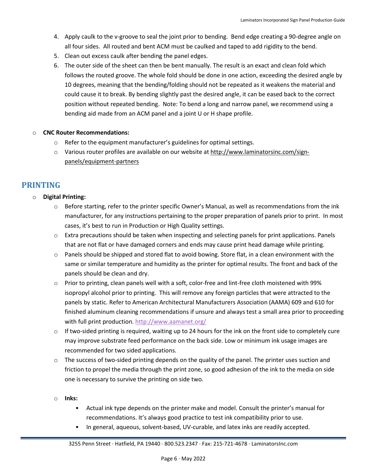- 4. Apply caulk to the v-groove to seal the joint prior to bending. Bend edge creating a 90-degree angle on all four sides. All routed and bent ACM must be caulked and taped to add rigidity to the bend.
- 5. Clean out excess caulk after bending the panel edges.
- 6. The outer side of the sheet can then be bent manually. The result is an exact and clean fold which follows the routed groove. The whole fold should be done in one action, exceeding the desired angle by 10 degrees, meaning that the bending/folding should not be repeated as it weakens the material and could cause it to break. By bending slightly past the desired angle, it can be eased back to the correct position without repeated bending. Note: To bend a long and narrow panel, we recommend using a bending aid made from an ACM panel and a joint U or H shape profile.

#### o **CNC Router Recommendations:**

- o Refer to the equipment manufacturer's guidelines for optimal settings.
- o Various router profiles are available on our website at [http://www.laminatorsinc.com/sign](http://www.laminatorsinc.com/sign-panels/equipment-partners)[panels/equipment-partners](http://www.laminatorsinc.com/sign-panels/equipment-partners)

## <span id="page-6-0"></span>**PRINTING**

#### o **Digital Printing:**

- $\circ$  Before starting, refer to the printer specific Owner's Manual, as well as recommendations from the ink manufacturer, for any instructions pertaining to the proper preparation of panels prior to print. In most cases, it's best to run in Production or High Quality settings.
- $\circ$  Extra precautions should be taken when inspecting and selecting panels for print applications. Panels that are not flat or have damaged corners and ends may cause print head damage while printing.
- $\circ$  Panels should be shipped and stored flat to avoid bowing. Store flat, in a clean environment with the same or similar temperature and humidity as the printer for optimal results. The front and back of the panels should be clean and dry.
- $\circ$  Prior to printing, clean panels well with a soft, color-free and lint-free cloth moistened with 99% isopropyl alcohol prior to printing. This will remove any foreign particles that were attracted to the panels by static. Refer to American Architectural Manufacturers Association (AAMA) 609 and 610 for finished aluminum cleaning recommendations if unsure and always test a small area prior to proceeding with full print production. <http://www.aamanet.org/>
- $\circ$  If two-sided printing is required, waiting up to 24 hours for the ink on the front side to completely cure may improve substrate feed performance on the back side. Low or minimum ink usage images are recommended for two sided applications.
- $\circ$  The success of two-sided printing depends on the quality of the panel. The printer uses suction and friction to propel the media through the print zone, so good adhesion of the ink to the media on side one is necessary to survive the printing on side two.
- o **Inks:**
	- Actual ink type depends on the printer make and model. Consult the printer's manual for recommendations. It's always good practice to test ink compatibility prior to use.
	- In general, aqueous, solvent-based, UV-curable, and latex inks are readily accepted.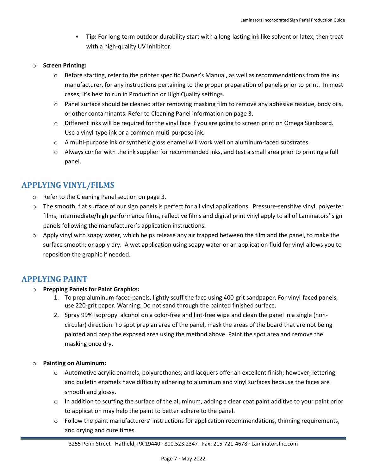- **Tip:** For long-term outdoor durability start with a long-lasting ink like solvent or latex, then treat with a high-quality UV inhibitor.
- o **Screen Printing:**
	- o Before starting, refer to the printer specific Owner's Manual, as well as recommendations from the ink manufacturer, for any instructions pertaining to the proper preparation of panels prior to print. In most cases, it's best to run in Production or High Quality settings.
	- $\circ$  Panel surface should be cleaned after removing masking film to remove any adhesive residue, body oils, or other contaminants. Refer to Cleaning Panel information on page 3.
	- $\circ$  Different inks will be required for the vinyl face if you are going to screen print on Omega Signboard. Use a vinyl-type ink or a common multi-purpose ink.
	- o A multi-purpose ink or synthetic gloss enamel will work well on aluminum-faced substrates.
	- $\circ$  Always confer with the ink supplier for recommended inks, and test a small area prior to printing a full panel.

## <span id="page-7-0"></span>**APPLYING VINYL/FILMS**

- o Refer to the Cleaning Panel section on page 3.
- $\circ$  The smooth, flat surface of our sign panels is perfect for all vinyl applications. Pressure-sensitive vinyl, polyester films, intermediate/high performance films, reflective films and digital print vinyl apply to all of Laminators' sign panels following the manufacturer's application instructions.
- $\circ$  Apply vinyl with soapy water, which helps release any air trapped between the film and the panel, to make the surface smooth; or apply dry. A wet application using soapy water or an application fluid for vinyl allows you to reposition the graphic if needed.

### <span id="page-7-1"></span>**APPLYING PAINT**

- o **Prepping Panels for Paint Graphics:**
	- 1. To prep aluminum-faced panels, lightly scuff the face using 400-grit sandpaper. For vinyl-faced panels, use 220-grit paper. Warning: Do not sand through the painted finished surface.
	- 2. Spray 99% isopropyl alcohol on a color-free and lint-free wipe and clean the panel in a single (noncircular) direction. To spot prep an area of the panel, mask the areas of the board that are not being painted and prep the exposed area using the method above. Paint the spot area and remove the masking once dry.
- o **Painting on Aluminum:**
	- o Automotive acrylic enamels, polyurethanes, and lacquers offer an excellent finish; however, lettering and bulletin enamels have difficulty adhering to aluminum and vinyl surfaces because the faces are smooth and glossy.
	- $\circ$  In addition to scuffing the surface of the aluminum, adding a clear coat paint additive to your paint prior to application may help the paint to better adhere to the panel.
	- $\circ$  Follow the paint manufacturers' instructions for application recommendations, thinning requirements, and drying and cure times.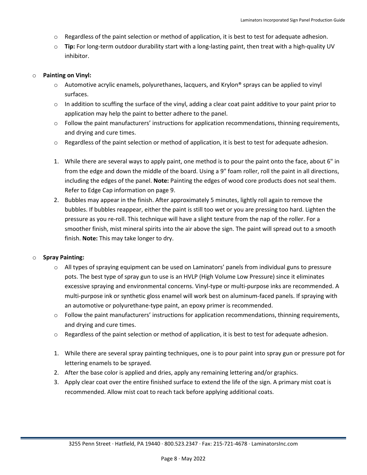- $\circ$  Regardless of the paint selection or method of application, it is best to test for adequate adhesion.
- o **Tip:** For long-term outdoor durability start with a long-lasting paint, then treat with a high-quality UV inhibitor.

#### o **Painting on Vinyl:**

- $\circ$  Automotive acrylic enamels, polyurethanes, lacquers, and Krylon® sprays can be applied to vinyl surfaces.
- $\circ$  In addition to scuffing the surface of the vinyl, adding a clear coat paint additive to your paint prior to application may help the paint to better adhere to the panel.
- $\circ$  Follow the paint manufacturers' instructions for application recommendations, thinning requirements, and drying and cure times.
- $\circ$  Regardless of the paint selection or method of application, it is best to test for adequate adhesion.
- 1. While there are several ways to apply paint, one method is to pour the paint onto the face, about 6" in from the edge and down the middle of the board. Using a 9" foam roller, roll the paint in all directions, including the edges of the panel. **Note:** Painting the edges of wood core products does not seal them. Refer to Edge Cap information on page 9.
- 2. Bubbles may appear in the finish. After approximately 5 minutes, lightly roll again to remove the bubbles. If bubbles reappear, either the paint is still too wet or you are pressing too hard. Lighten the pressure as you re-roll. This technique will have a slight texture from the nap of the roller. For a smoother finish, mist mineral spirits into the air above the sign. The paint will spread out to a smooth finish. **Note:** This may take longer to dry.

#### o **Spray Painting:**

- o All types of spraying equipment can be used on Laminators' panels from individual guns to pressure pots. The best type of spray gun to use is an HVLP (High Volume Low Pressure) since it eliminates excessive spraying and environmental concerns. Vinyl-type or multi-purpose inks are recommended. A multi-purpose ink or synthetic gloss enamel will work best on aluminum-faced panels. If spraying with an automotive or polyurethane-type paint, an epoxy primer is recommended.
- $\circ$  Follow the paint manufacturers' instructions for application recommendations, thinning requirements, and drying and cure times.
- $\circ$  Regardless of the paint selection or method of application, it is best to test for adequate adhesion.
- 1. While there are several spray painting techniques, one is to pour paint into spray gun or pressure pot for lettering enamels to be sprayed.
- 2. After the base color is applied and dries, apply any remaining lettering and/or graphics.
- 3. Apply clear coat over the entire finished surface to extend the life of the sign. A primary mist coat is recommended. Allow mist coat to reach tack before applying additional coats.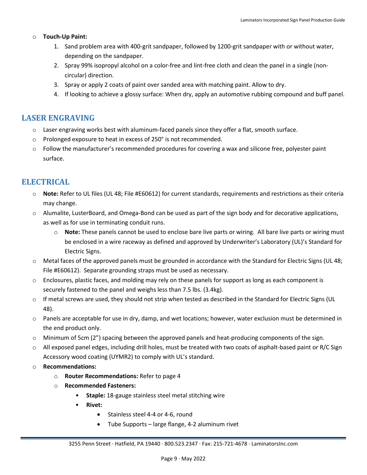#### o **Touch-Up Paint:**

- 1. Sand problem area with 400-grit sandpaper, followed by 1200-grit sandpaper with or without water, depending on the sandpaper.
- 2. Spray 99% isopropyl alcohol on a color-free and lint-free cloth and clean the panel in a single (noncircular) direction.
- 3. Spray or apply 2 coats of paint over sanded area with matching paint. Allow to dry.
- 4. If looking to achieve a glossy surface: When dry, apply an automotive rubbing compound and buff panel.

### <span id="page-9-0"></span>**LASER ENGRAVING**

- $\circ$  Laser engraving works best with aluminum-faced panels since they offer a flat, smooth surface.
- o Prolonged exposure to heat in excess of 250° is not recommended.
- $\circ$  Follow the manufacturer's recommended procedures for covering a wax and silicone free, polyester paint surface.

## <span id="page-9-1"></span>**ELECTRICAL**

- o **Note:** Refer to UL files (UL 48; File #E60612) for current standards, requirements and restrictions as their criteria may change.
- o Alumalite, LusterBoard, and Omega-Bond can be used as part of the sign body and for decorative applications, as well as for use in terminating conduit runs.
	- o **Note:** These panels cannot be used to enclose bare live parts or wiring. All bare live parts or wiring must be enclosed in a wire raceway as defined and approved by Underwriter's Laboratory (UL)'s Standard for Electric Signs.
- o Metal faces of the approved panels must be grounded in accordance with the Standard for Electric Signs (UL 48; File #E60612). Separate grounding straps must be used as necessary.
- o Enclosures, plastic faces, and molding may rely on these panels for support as long as each component is securely fastened to the panel and weighs less than 7.5 lbs. (3.4kg).
- $\circ$  If metal screws are used, they should not strip when tested as described in the Standard for Electric Signs (UL 48).
- o Panels are acceptable for use in dry, damp, and wet locations; however, water exclusion must be determined in the end product only.
- o Minimum of 5cm (2") spacing between the approved panels and heat-producing components of the sign.
- $\circ$  All exposed panel edges, including drill holes, must be treated with two coats of asphalt-based paint or R/C Sign Accessory wood coating (UYMR2) to comply with UL's standard.
- o **Recommendations:** 
	- o **Router Recommendations:** Refer to page 4
	- o **Recommended Fasteners:**
		- **Staple:** 18-gauge stainless steel metal stitching wire
		- **Rivet:** 
			- Stainless steel 4-4 or 4-6, round
			- Tube Supports large flange, 4-2 aluminum rivet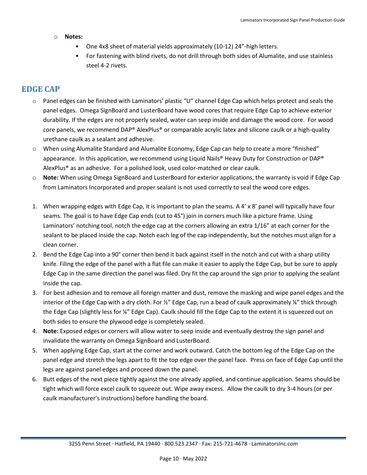#### o **Notes:**

- One 4x8 sheet of material yields approximately (10-12) 24"-high letters.
- For fastening with blind rivets, do not drill through both sides of Alumalite, and use stainless steel 4-2 rivets.

## <span id="page-10-0"></span>**EDGE CAP**

- o Panel edges can be finished with Laminators' plastic "U" channel Edge Cap which helps protect and seals the panel edges. Omega SignBoard and LusterBoard have wood cores that require Edge Cap to achieve exterior durability. If the edges are not properly sealed, water can seep inside and damage the wood core. For wood core panels, we recommend DAP® AlexPlus® or comparable acrylic latex and silicone caulk or a high-quality urethane caulk as a sealant and adhesive.
- o When using Alumalite Standard and Alumalite Economy, Edge Cap can help to create a more "finished" appearance. In this application, we recommend using Liquid Nails® Heavy Duty for Construction or DAP® AlexPlus® as an adhesive. For a polished look, used color-matched or clear caulk.
- o **Note:** When using Omega SignBoard and LusterBoard for exterior applications, the warranty is void if Edge Cap from Laminators Incorporated and proper sealant is not used correctly to seal the wood core edges.
- 1. When wrapping edges with Edge Cap, it is important to plan the seams. A 4' x 8' panel will typically have four seams. The goal is to have Edge Cap ends (cut to 45°) join in corners much like a picture frame. Using Laminators' notching tool, notch the edge cap at the corners allowing an extra 1/16" at each corner for the sealant to be placed inside the cap. Notch each leg of the cap independently, but the notches must align for a clean corner.
- 2. Bend the Edge Cap into a 90° corner then bend it back against itself in the notch and cut with a sharp utility knife. Filing the edge of the panel with a flat file can make it easier to apply the Edge Cap, but be sure to apply Edge Cap in the same direction the panel was filed. Dry fit the cap around the sign prior to applying the sealant inside the cap.
- 3. For best adhesion and to remove all foreign matter and dust, remove the masking and wipe panel edges and the interior of the Edge Cap with a dry cloth. For ½" Edge Cap, run a bead of caulk approximately ¼" thick through the Edge Cap (slightly less for ¼" Edge Cap). Caulk should fill the Edge Cap to the extent it is squeezed out on both sides to ensure the plywood edge is completely sealed.
- 4. **Note:** Exposed edges or corners will allow water to seep inside and eventually destroy the sign panel and invalidate the warranty on Omega SignBoard and LusterBoard.
- 5. When applying Edge Cap, start at the corner and work outward. Catch the bottom leg of the Edge Cap on the panel edge and stretch the legs apart to fit the top edge over the panel face. Press on face of Edge Cap until the legs are against panel edges and proceed down the panel.
- 6. Butt edges of the next piece tightly against the one already applied, and continue application. Seams should be tight which will force excel caulk to squeeze out. Wipe away excess. Allow the caulk to dry 3-4 hours (or per caulk manufacturer's instructions) before handling the board.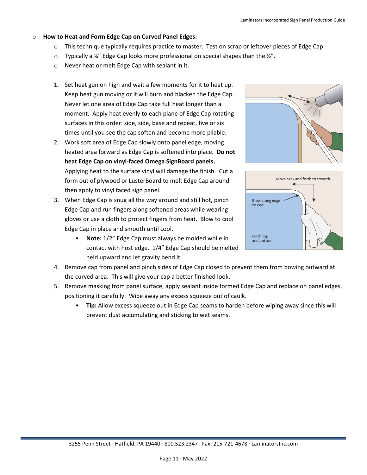#### o **How to Heat and Form Edge Cap on Curved Panel Edges:**

- o This technique typically requires practice to master. Test on scrap or leftover pieces of Edge Cap.
- $\circ$  Typically a ¼" Edge Cap looks more professional on special shapes than the ¼".
- o Never heat or melt Edge Cap with sealant in it.
- 1. Set heat gun on high and wait a few moments for it to heat up. Keep heat gun moving or it will burn and blacken the Edge Cap. Never let one area of Edge Cap take full heat longer than a moment. Apply heat evenly to each plane of Edge Cap rotating surfaces in this order: side, side, base and repeat, five or six times until you see the cap soften and become more pliable.
- 2. Work soft area of Edge Cap slowly onto panel edge, moving heated area forward as Edge Cap is softened into place. **Do not heat Edge Cap on vinyl-faced Omega SignBoard panels.** Applying heat to the surface vinyl will damage the finish. Cut a form out of plywood or LusterBoard to melt Edge Cap around then apply to vinyl faced sign panel.
- 3. When Edge Cap is snug all the way around and still hot, pinch Edge Cap and run fingers along softened areas while wearing gloves or use a cloth to protect fingers from heat. Blow to cool Edge Cap in place and smooth until cool.
	- **Note:** 1/2" Edge Cap must always be molded while in contact with host edge. 1/4" Edge Cap should be melted held upward and let gravity bend it.





- 4. Remove cap from panel and pinch sides of Edge Cap closed to prevent them from bowing outward at the curved area. This will give your cap a better finished look.
- 5. Remove masking from panel surface, apply sealant inside formed Edge Cap and replace on panel edges, positioning it carefully. Wipe away any excess squeeze out of caulk.
	- **Tip:** Allow excess squeeze out in Edge Cap seams to harden before wiping away since this will prevent dust accumulating and sticking to wet seams.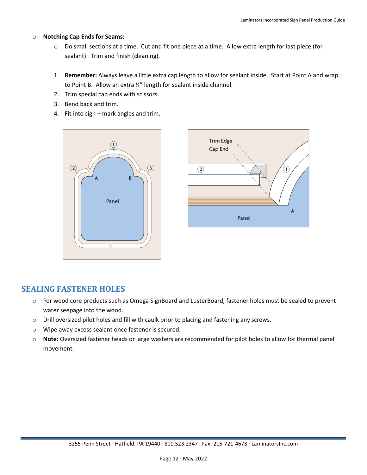#### o **Notching Cap Ends for Seams:**

- o Do small sections at a time. Cut and fit one piece at a time. Allow extra length for last piece (for sealant). Trim and finish (cleaning).
- 1. **Remember:** Always leave a little extra cap length to allow for sealant inside. Start at Point A and wrap to Point B. Allow an extra ¼" length for sealant inside channel.
- 2. Trim special cap ends with scissors.
- 3. Bend back and trim.
- 4. Fit into sign mark angles and trim.





## <span id="page-12-0"></span>**SEALING FASTENER HOLES**

- o For wood core products such as Omega SignBoard and LusterBoard, fastener holes must be sealed to prevent water seepage into the wood.
- o Drill oversized pilot holes and fill with caulk prior to placing and fastening any screws.
- o Wipe away excess sealant once fastener is secured.
- o **Note:** Oversized fastener heads or large washers are recommended for pilot holes to allow for thermal panel movement.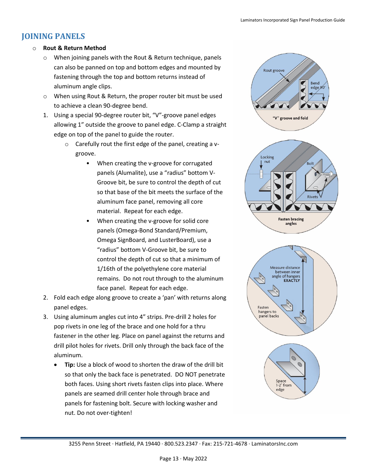## <span id="page-13-0"></span>**JOINING PANELS**

#### **Rout & Return Method**

- o When joining panels with the Rout & Return technique, panels can also be panned on top and bottom edges and mounted by fastening through the top and bottom returns instead of aluminum angle clips.
- o When using Rout & Return, the proper router bit must be used to achieve a clean 90-degree bend.
- 1. Using a special 90-degree router bit, "V"-groove panel edges allowing 1" outside the groove to panel edge. C-Clamp a straight edge on top of the panel to guide the router.
	- o Carefully rout the first edge of the panel, creating a vgroove.
		- When creating the v-groove for corrugated panels (Alumalite), use a "radius" bottom V-Groove bit, be sure to control the depth of cut so that base of the bit meets the surface of the aluminum face panel, removing all core material. Repeat for each edge.
		- When creating the v-groove for solid core panels (Omega-Bond Standard/Premium, Omega SignBoard, and LusterBoard), use a "radius" bottom V-Groove bit, be sure to control the depth of cut so that a minimum of 1/16th of the polyethylene core material remains. Do not rout through to the aluminum face panel. Repeat for each edge.
- 2. Fold each edge along groove to create a 'pan' with returns along panel edges.
- 3. Using aluminum angles cut into 4" strips. Pre-drill 2 holes for pop rivets in one leg of the brace and one hold for a thru fastener in the other leg. Place on panel against the returns and drill pilot holes for rivets. Drill only through the back face of the aluminum.
	- **Tip:** Use a block of wood to shorten the draw of the drill bit so that only the back face is penetrated. DO NOT penetrate both faces. Using short rivets fasten clips into place. Where panels are seamed drill center hole through brace and panels for fastening bolt. Secure with locking washer and nut. Do not over-tighten!

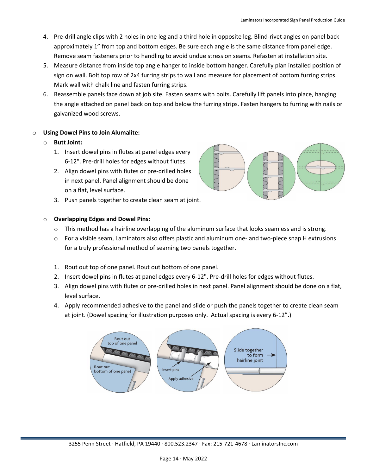- 4. Pre-drill angle clips with 2 holes in one leg and a third hole in opposite leg. Blind-rivet angles on panel back approximately 1" from top and bottom edges. Be sure each angle is the same distance from panel edge. Remove seam fasteners prior to handling to avoid undue stress on seams. Refasten at installation site.
- 5. Measure distance from inside top angle hanger to inside bottom hanger. Carefully plan installed position of sign on wall. Bolt top row of 2x4 furring strips to wall and measure for placement of bottom furring strips. Mark wall with chalk line and fasten furring strips.
- 6. Reassemble panels face down at job site. Fasten seams with bolts. Carefully lift panels into place, hanging the angle attached on panel back on top and below the furring strips. Fasten hangers to furring with nails or galvanized wood screws.

#### o **Using Dowel Pins to Join Alumalite:**

#### o **Butt Joint:**

- 1. Insert dowel pins in flutes at panel edges every 6-12". Pre-drill holes for edges without flutes.
- 2. Align dowel pins with flutes or pre-drilled holes in next panel. Panel alignment should be done on a flat, level surface.
- 3. Push panels together to create clean seam at joint.



#### o **Overlapping Edges and Dowel Pins:**

- $\circ$  This method has a hairline overlapping of the aluminum surface that looks seamless and is strong.
- $\circ$  For a visible seam, Laminators also offers plastic and aluminum one- and two-piece snap H extrusions for a truly professional method of seaming two panels together.
- 1. Rout out top of one panel. Rout out bottom of one panel.
- 2. Insert dowel pins in flutes at panel edges every 6-12". Pre-drill holes for edges without flutes.
- 3. Align dowel pins with flutes or pre-drilled holes in next panel. Panel alignment should be done on a flat, level surface.
- 4. Apply recommended adhesive to the panel and slide or push the panels together to create clean seam at joint. (Dowel spacing for illustration purposes only. Actual spacing is every 6-12".)

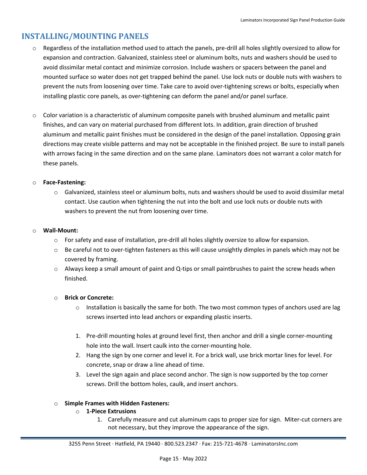## <span id="page-15-0"></span>**INSTALLING/MOUNTING PANELS**

- o Regardless of the installation method used to attach the panels, pre-drill all holes slightly oversized to allow for expansion and contraction. Galvanized, stainless steel or aluminum bolts, nuts and washers should be used to avoid dissimilar metal contact and minimize corrosion. Include washers or spacers between the panel and mounted surface so water does not get trapped behind the panel. Use lock nuts or double nuts with washers to prevent the nuts from loosening over time. Take care to avoid over-tightening screws or bolts, especially when installing plastic core panels, as over-tightening can deform the panel and/or panel surface.
- o Color variation is a characteristic of aluminum composite panels with brushed aluminum and metallic paint finishes, and can vary on material purchased from different lots. In addition, grain direction of brushed aluminum and metallic paint finishes must be considered in the design of the panel installation. Opposing grain directions may create visible patterns and may not be acceptable in the finished project. Be sure to install panels with arrows facing in the same direction and on the same plane. Laminators does not warrant a color match for these panels.

#### o **Face-Fastening:**

 $\circ$  Galvanized, stainless steel or aluminum bolts, nuts and washers should be used to avoid dissimilar metal contact. Use caution when tightening the nut into the bolt and use lock nuts or double nuts with washers to prevent the nut from loosening over time.

#### o **Wall-Mount:**

- $\circ$  For safety and ease of installation, pre-drill all holes slightly oversize to allow for expansion.
- $\circ$  Be careful not to over-tighten fasteners as this will cause unsightly dimples in panels which may not be covered by framing.
- $\circ$  Always keep a small amount of paint and Q-tips or small paintbrushes to paint the screw heads when finished.

#### o **Brick or Concrete:**

- $\circ$  Installation is basically the same for both. The two most common types of anchors used are lag screws inserted into lead anchors or expanding plastic inserts.
- 1. Pre-drill mounting holes at ground level first, then anchor and drill a single corner-mounting hole into the wall. Insert caulk into the corner-mounting hole.
- 2. Hang the sign by one corner and level it. For a brick wall, use brick mortar lines for level. For concrete, snap or draw a line ahead of time.
- 3. Level the sign again and place second anchor. The sign is now supported by the top corner screws. Drill the bottom holes, caulk, and insert anchors.

#### o **Simple Frames with Hidden Fasteners:**

- o **1-Piece Extrusions**
	- 1. Carefully measure and cut aluminum caps to proper size for sign. Miter-cut corners are not necessary, but they improve the appearance of the sign.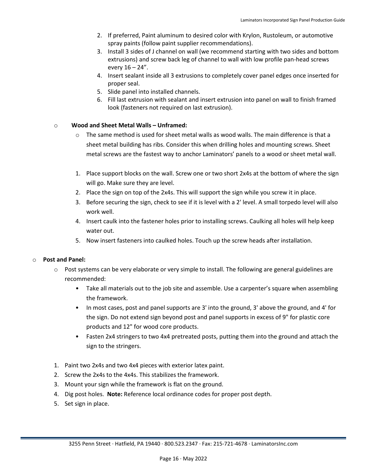- 2. If preferred, Paint aluminum to desired color with Krylon, Rustoleum, or automotive spray paints (follow paint supplier recommendations).
- 3. Install 3 sides of J channel on wall (we recommend starting with two sides and bottom extrusions) and screw back leg of channel to wall with low profile pan-head screws every  $16 - 24$ ".
- 4. Insert sealant inside all 3 extrusions to completely cover panel edges once inserted for proper seal.
- 5. Slide panel into installed channels.
- 6. Fill last extrusion with sealant and insert extrusion into panel on wall to finish framed look (fasteners not required on last extrusion).

#### o 10**Wood and Sheet Metal Walls – Unframed:**

- $\circ$  The same method is used for sheet metal walls as wood walls. The main difference is that a sheet metal building has ribs. Consider this when drilling holes and mounting screws. Sheet metal screws are the fastest way to anchor Laminators' panels to a wood or sheet metal wall.
- 1. Place support blocks on the wall. Screw one or two short 2x4s at the bottom of where the sign will go. Make sure they are level.
- 2. Place the sign on top of the 2x4s. This will support the sign while you screw it in place.
- 3. Before securing the sign, check to see if it is level with a 2' level. A small torpedo level will also work well.
- 4. Insert caulk into the fastener holes prior to installing screws. Caulking all holes will help keep water out.
- 5. Now insert fasteners into caulked holes. Touch up the screw heads after installation.

#### o **Post and Panel:**

- $\circ$  Post systems can be very elaborate or very simple to install. The following are general guidelines are recommended:
	- Take all materials out to the job site and assemble. Use a carpenter's square when assembling the framework.
	- In most cases, post and panel supports are 3' into the ground, 3' above the ground, and 4' for the sign. Do not extend sign beyond post and panel supports in excess of 9" for plastic core products and 12" for wood core products.
	- Fasten 2x4 stringers to two 4x4 pretreated posts, putting them into the ground and attach the sign to the stringers.
- 1. Paint two 2x4s and two 4x4 pieces with exterior latex paint.
- 2. Screw the 2x4s to the 4x4s. This stabilizes the framework.
- 3. Mount your sign while the framework is flat on the ground.
- 4. Dig post holes. **Note:** Reference local ordinance codes for proper post depth.
- 5. Set sign in place.